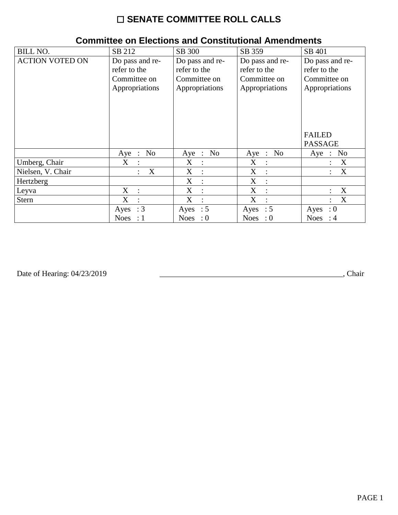# $\square$  SENATE COMMITTEE ROLL CALLS

| <b>BILL NO.</b>        | SB 212                                                            | SB 300                                                            | SB 359                                                            | SB 401                                                            |
|------------------------|-------------------------------------------------------------------|-------------------------------------------------------------------|-------------------------------------------------------------------|-------------------------------------------------------------------|
| <b>ACTION VOTED ON</b> | Do pass and re-<br>refer to the<br>Committee on<br>Appropriations | Do pass and re-<br>refer to the<br>Committee on<br>Appropriations | Do pass and re-<br>refer to the<br>Committee on<br>Appropriations | Do pass and re-<br>refer to the<br>Committee on<br>Appropriations |
|                        |                                                                   |                                                                   |                                                                   | <b>FAILED</b><br><b>PASSAGE</b>                                   |
|                        | No<br>$Aye$ :                                                     | Aye : $No$                                                        | Aye : No                                                          | No<br>$Aye$ :                                                     |
| Umberg, Chair          | X                                                                 | X<br>$\ddot{\cdot}$                                               | X<br>$\ddot{\cdot}$                                               | X                                                                 |
| Nielsen, V. Chair      | X                                                                 | X<br>$\ddot{\cdot}$                                               | X<br>$\cdot$ :                                                    | X                                                                 |
| Hertzberg              |                                                                   | X<br>$\ddot{\cdot}$                                               | X<br>$\cdot$ :                                                    |                                                                   |
| Leyva                  | $X_{\mathcal{L}}$                                                 | X<br>$\ddot{\cdot}$                                               | X                                                                 | X                                                                 |
| <b>Stern</b>           | X                                                                 | X<br>$\ddot{\cdot}$                                               | X                                                                 | X                                                                 |
|                        | $\therefore$ 3<br>Ayes                                            | Ayes : $5$                                                        | Ayes : $5$                                                        | $\cdot 0$<br>Ayes                                                 |
|                        | Noes : $1$                                                        | Noes : $0$                                                        | Noes : $0$                                                        | Noes : $4$                                                        |

### **Committee on Elections and Constitutional Amendments**

Date of Hearing: 04/23/2019

Chair (Chair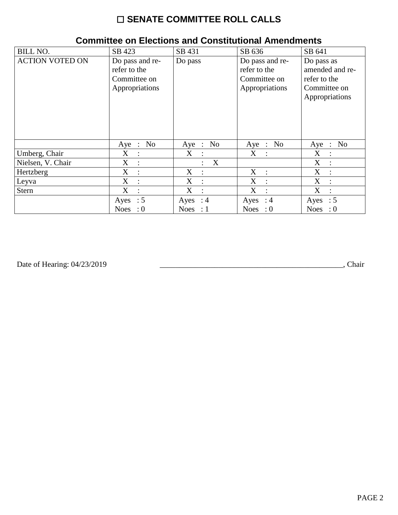# ☐ **SENATE COMMITTEE ROLL CALLS**

| <b>BILL NO.</b>        | SB 423                                                            | SB 431                         | SB 636                                                            | SB 641                                                                          |
|------------------------|-------------------------------------------------------------------|--------------------------------|-------------------------------------------------------------------|---------------------------------------------------------------------------------|
| <b>ACTION VOTED ON</b> | Do pass and re-<br>refer to the<br>Committee on<br>Appropriations | Do pass                        | Do pass and re-<br>refer to the<br>Committee on<br>Appropriations | Do pass as<br>amended and re-<br>refer to the<br>Committee on<br>Appropriations |
|                        | No<br>$Aye$ :                                                     | N <sub>o</sub><br>Aye :        | Aye : No                                                          | Aye : $No$                                                                      |
| Umberg, Chair          | $X_{\mathcal{C}}$<br>$\sim 10^{-1}$                               | X<br>$\mathbf{L}$              | $X_{\mathcal{C}}$<br>$\mathbf{r}$                                 | X<br>$\ddot{\phantom{a}}$                                                       |
| Nielsen, V. Chair      | X<br>$\cdot$ :                                                    | $\mathbf{X}$<br>$\ddot{\cdot}$ |                                                                   | X<br>$\mathbf{r}$                                                               |
| Hertzberg              | X<br>$\ddot{\cdot}$                                               | X<br>$\ddot{\cdot}$            | X<br>$\therefore$                                                 | X<br>$\ddot{\cdot}$                                                             |
| Leyva                  | X<br>$\ddot{\cdot}$                                               | X<br>$\ddot{\cdot}$            | X                                                                 | X<br>$\ddot{\phantom{a}}$                                                       |
| <b>Stern</b>           | X<br>$\ddot{\phantom{a}}$                                         | X<br>$\ddot{\cdot}$            | X                                                                 | X<br>$\ddot{\cdot}$                                                             |
|                        | Ayes : $5$                                                        | Ayes : $4$                     | Ayes : $4$                                                        | $\therefore$ 5<br>Ayes                                                          |
|                        | <b>Noes</b><br>$\cdot 0$                                          | Noes : $1$                     | Noes : $0$                                                        | Noes : $0$                                                                      |

#### **Committee on Elections and Constitutional Amendments**

Date of Hearing: 04/23/2019

Date of Hearing: 04/23/2019 \_\_\_\_\_\_\_\_\_\_\_\_\_\_\_\_\_\_\_\_\_\_\_\_\_\_\_\_\_\_\_\_\_\_\_\_\_\_\_\_\_\_\_\_\_\_\_, Chair